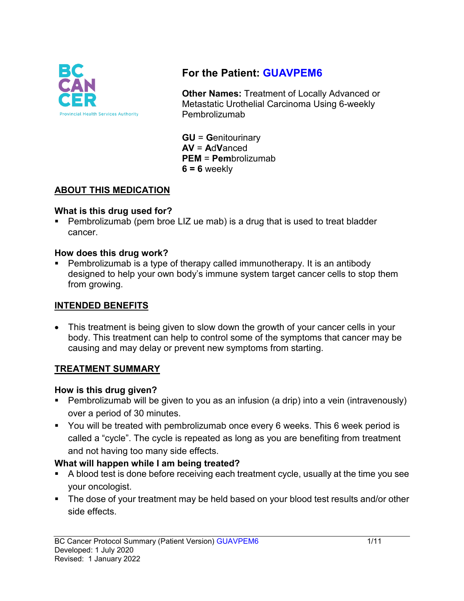

# **For the Patient: GUAVPEM6**

**Other Names:** Treatment of Locally Advanced or Metastatic Urothelial Carcinoma Using 6-weekly Pembrolizumab

**GU** = **G**enitourinary **AV** = **A**d**V**anced **PEM** = **Pem**brolizumab  $6 = 6$  weekly

## **ABOUT THIS MEDICATION**

#### **What is this drug used for?**

• Pembrolizumab (pem broe LIZ ue mab) is a drug that is used to treat bladder cancer.

#### **How does this drug work?**

 Pembrolizumab is a type of therapy called immunotherapy. It is an antibody designed to help your own body's immune system target cancer cells to stop them from growing.

### **INTENDED BENEFITS**

• This treatment is being given to slow down the growth of your cancer cells in your body. This treatment can help to control some of the symptoms that cancer may be causing and may delay or prevent new symptoms from starting.

# **TREATMENT SUMMARY**

### **How is this drug given?**

- Pembrolizumab will be given to you as an infusion (a drip) into a vein (intravenously) over a period of 30 minutes.
- You will be treated with pembrolizumab once every 6 weeks. This 6 week period is called a "cycle". The cycle is repeated as long as you are benefiting from treatment and not having too many side effects.

### **What will happen while I am being treated?**

- A blood test is done before receiving each treatment cycle, usually at the time you see your oncologist.
- The dose of your treatment may be held based on your blood test results and/or other side effects.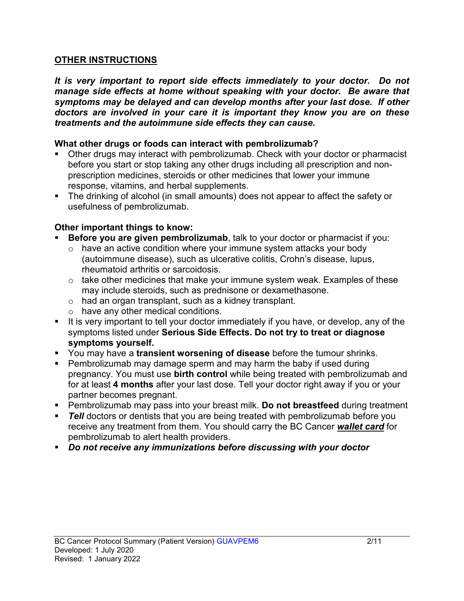#### **OTHER INSTRUCTIONS**

*It is very important to report side effects immediately to your doctor. Do not manage side effects at home without speaking with your doctor. Be aware that symptoms may be delayed and can develop months after your last dose. If other doctors are involved in your care it is important they know you are on these treatments and the autoimmune side effects they can cause.*

#### **What other drugs or foods can interact with pembrolizumab?**

- Other drugs may interact with pembrolizumab. Check with your doctor or pharmacist before you start or stop taking any other drugs including all prescription and nonprescription medicines, steroids or other medicines that lower your immune response, vitamins, and herbal supplements.
- The drinking of alcohol (in small amounts) does not appear to affect the safety or usefulness of pembrolizumab.

### **Other important things to know:**

- **Before you are given pembrolizumab**, talk to your doctor or pharmacist if you:
	- $\circ$  have an active condition where your immune system attacks your body (autoimmune disease), such as ulcerative colitis, Crohn's disease, lupus, rheumatoid arthritis or sarcoidosis.
	- $\circ$  take other medicines that make your immune system weak. Examples of these may include steroids, such as prednisone or dexamethasone.
	- o had an organ transplant, such as a kidney transplant.
	- o have any other medical conditions.
- It is very important to tell your doctor immediately if you have, or develop, any of the symptoms listed under **Serious Side Effects. Do not try to treat or diagnose symptoms yourself.**
- You may have a **transient worsening of disease** before the tumour shrinks.
- Pembrolizumab may damage sperm and may harm the baby if used during pregnancy. You must use **birth control** while being treated with pembrolizumab and for at least **4 months** after your last dose. Tell your doctor right away if you or your partner becomes pregnant.
- Pembrolizumab may pass into your breast milk. **Do not breastfeed** during treatment
- **Tell** doctors or dentists that you are being treated with pembrolizumab before you receive any treatment from them. You should carry the BC Cancer *wallet card* for pembrolizumab to alert health providers.
- *Do not receive any immunizations before discussing with your doctor*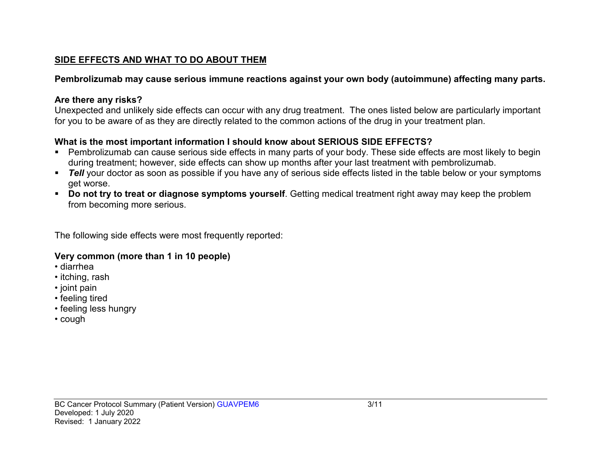## **SIDE EFFECTS AND WHAT TO DO ABOUT THEM**

# **Pembrolizumab may cause serious immune reactions against your own body (autoimmune) affecting many parts.**

# **Are there any risks?**

Unexpected and unlikely side effects can occur with any drug treatment. The ones listed below are particularly important for you to be aware of as they are directly related to the common actions of the drug in your treatment plan.

# **What is the most important information I should know about SERIOUS SIDE EFFECTS?**

- Pembrolizumab can cause serious side effects in many parts of your body. These side effects are most likely to begin during treatment; however, side effects can show up months after your last treatment with pembrolizumab.
- **Tell** your doctor as soon as possible if you have any of serious side effects listed in the table below or your symptoms get worse.
- **Do not try to treat or diagnose symptoms yourself**. Getting medical treatment right away may keep the problem from becoming more serious.

The following side effects were most frequently reported:

# **Very common (more than 1 in 10 people)**

- diarrhea
- itching, rash
- joint pain
- feeling tired
- feeling less hungry
- cough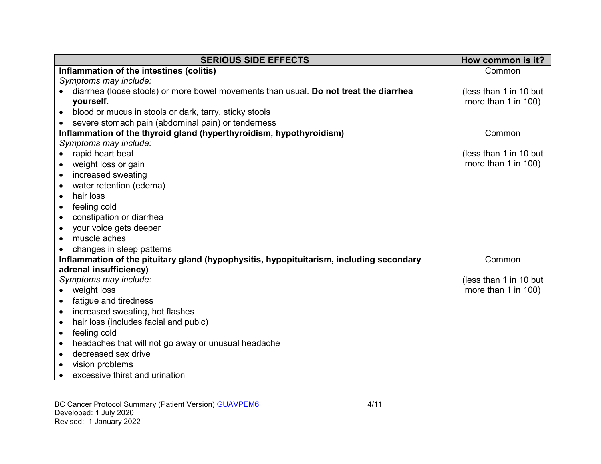| <b>SERIOUS SIDE EFFECTS</b>                                                             | How common is it?      |
|-----------------------------------------------------------------------------------------|------------------------|
| Inflammation of the intestines (colitis)                                                | Common                 |
| Symptoms may include:                                                                   |                        |
| diarrhea (loose stools) or more bowel movements than usual. Do not treat the diarrhea   | (less than 1 in 10 but |
| yourself.                                                                               | more than 1 in 100)    |
| blood or mucus in stools or dark, tarry, sticky stools                                  |                        |
| severe stomach pain (abdominal pain) or tenderness                                      |                        |
| Inflammation of the thyroid gland (hyperthyroidism, hypothyroidism)                     | Common                 |
| Symptoms may include:                                                                   |                        |
| rapid heart beat                                                                        | (less than 1 in 10 but |
| weight loss or gain                                                                     | more than 1 in 100)    |
| increased sweating                                                                      |                        |
| water retention (edema)                                                                 |                        |
| hair loss<br>$\bullet$                                                                  |                        |
| feeling cold                                                                            |                        |
| constipation or diarrhea                                                                |                        |
| your voice gets deeper                                                                  |                        |
| muscle aches                                                                            |                        |
| changes in sleep patterns                                                               |                        |
| Inflammation of the pituitary gland (hypophysitis, hypopituitarism, including secondary | Common                 |
| adrenal insufficiency)                                                                  |                        |
| Symptoms may include:                                                                   | (less than 1 in 10 but |
| weight loss                                                                             | more than 1 in 100)    |
| fatigue and tiredness                                                                   |                        |
| increased sweating, hot flashes                                                         |                        |
| hair loss (includes facial and pubic)                                                   |                        |
| feeling cold<br>$\bullet$                                                               |                        |
| headaches that will not go away or unusual headache                                     |                        |
| decreased sex drive                                                                     |                        |
| vision problems                                                                         |                        |
| excessive thirst and urination                                                          |                        |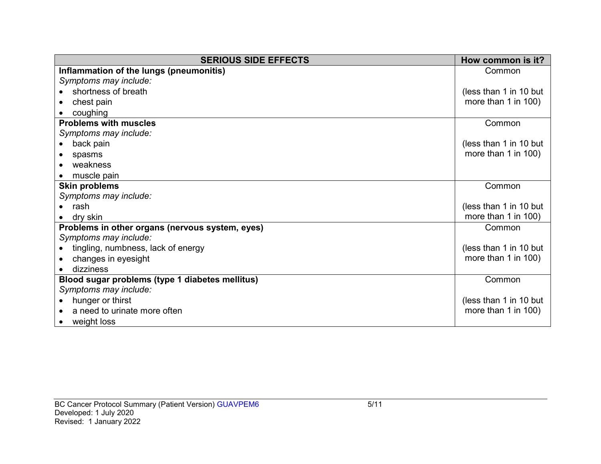| <b>SERIOUS SIDE EFFECTS</b>                     | How common is it?        |
|-------------------------------------------------|--------------------------|
| Inflammation of the lungs (pneumonitis)         | Common                   |
| Symptoms may include:                           |                          |
| shortness of breath                             | (less than 1 in 10 but   |
| chest pain                                      | more than $1$ in $100$ ) |
| coughing                                        |                          |
| <b>Problems with muscles</b>                    | Common                   |
| Symptoms may include:                           |                          |
| back pain                                       | (less than 1 in 10 but   |
| spasms                                          | more than 1 in $100$ )   |
| weakness                                        |                          |
| muscle pain                                     |                          |
| <b>Skin problems</b>                            | Common                   |
| Symptoms may include:                           |                          |
| rash                                            | (less than 1 in 10 but   |
| dry skin                                        | more than 1 in 100)      |
| Problems in other organs (nervous system, eyes) | Common                   |
| Symptoms may include:                           |                          |
| tingling, numbness, lack of energy              | (less than 1 in 10 but   |
| changes in eyesight                             | more than 1 in 100)      |
| dizziness                                       |                          |
| Blood sugar problems (type 1 diabetes mellitus) | Common                   |
| Symptoms may include:                           |                          |
| hunger or thirst                                | (less than 1 in 10 but   |
| a need to urinate more often                    | more than $1$ in $100$ ) |
| weight loss                                     |                          |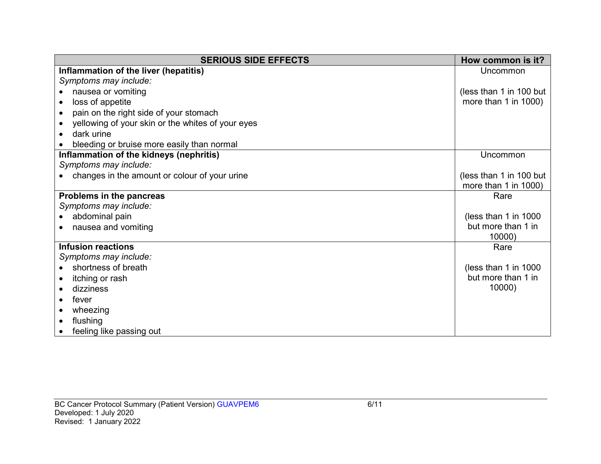| <b>SERIOUS SIDE EFFECTS</b>                       | How common is it?         |
|---------------------------------------------------|---------------------------|
| Inflammation of the liver (hepatitis)             | Uncommon                  |
| Symptoms may include:                             |                           |
| nausea or vomiting                                | (less than 1 in 100 but   |
| loss of appetite                                  | more than $1$ in $1000$ ) |
| pain on the right side of your stomach            |                           |
| yellowing of your skin or the whites of your eyes |                           |
| dark urine                                        |                           |
| bleeding or bruise more easily than normal        |                           |
| Inflammation of the kidneys (nephritis)           | Uncommon                  |
| Symptoms may include:                             |                           |
| changes in the amount or colour of your urine     | (less than 1 in 100 but   |
|                                                   | more than 1 in 1000)      |
| Problems in the pancreas                          | Rare                      |
| Symptoms may include:                             |                           |
| abdominal pain                                    | (less than 1 in 1000)     |
| nausea and vomiting                               | but more than 1 in        |
|                                                   | 10000)                    |
| <b>Infusion reactions</b>                         | Rare                      |
| Symptoms may include:                             |                           |
| shortness of breath                               | (less than 1 in 1000      |
| itching or rash                                   | but more than 1 in        |
| dizziness                                         | 10000)                    |
| fever                                             |                           |
| wheezing                                          |                           |
| flushing                                          |                           |
| feeling like passing out                          |                           |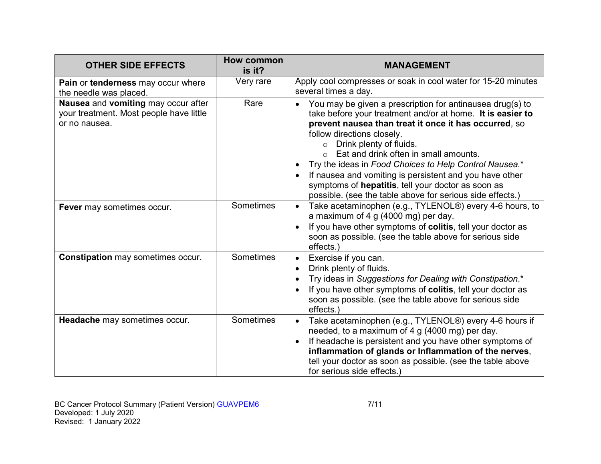| <b>OTHER SIDE EFFECTS</b>                                                                       | How common<br>is it? | <b>MANAGEMENT</b>                                                                                                                                                                                                                                                                                                                                                                                                                                                                                                                     |
|-------------------------------------------------------------------------------------------------|----------------------|---------------------------------------------------------------------------------------------------------------------------------------------------------------------------------------------------------------------------------------------------------------------------------------------------------------------------------------------------------------------------------------------------------------------------------------------------------------------------------------------------------------------------------------|
| Pain or tenderness may occur where<br>the needle was placed.                                    | Very rare            | Apply cool compresses or soak in cool water for 15-20 minutes<br>several times a day.                                                                                                                                                                                                                                                                                                                                                                                                                                                 |
| Nausea and vomiting may occur after<br>your treatment. Most people have little<br>or no nausea. | Rare                 | You may be given a prescription for antinausea drug(s) to<br>take before your treatment and/or at home. It is easier to<br>prevent nausea than treat it once it has occurred, so<br>follow directions closely.<br>Drink plenty of fluids.<br>$\circ$<br>Eat and drink often in small amounts.<br>Try the ideas in Food Choices to Help Control Nausea.*<br>If nausea and vomiting is persistent and you have other<br>symptoms of hepatitis, tell your doctor as soon as<br>possible. (see the table above for serious side effects.) |
| Fever may sometimes occur.                                                                      | Sometimes            | Take acetaminophen (e.g., TYLENOL®) every 4-6 hours, to<br>$\bullet$<br>a maximum of 4 g $(4000 \text{ mg})$ per day.<br>If you have other symptoms of colitis, tell your doctor as<br>soon as possible. (see the table above for serious side<br>effects.)                                                                                                                                                                                                                                                                           |
| <b>Constipation may sometimes occur.</b>                                                        | Sometimes            | Exercise if you can.<br>Drink plenty of fluids.<br>Try ideas in Suggestions for Dealing with Constipation.*<br>If you have other symptoms of colitis, tell your doctor as<br>soon as possible. (see the table above for serious side<br>effects.)                                                                                                                                                                                                                                                                                     |
| Headache may sometimes occur.                                                                   | Sometimes            | Take acetaminophen (e.g., TYLENOL®) every 4-6 hours if<br>$\bullet$<br>needed, to a maximum of 4 g (4000 mg) per day.<br>If headache is persistent and you have other symptoms of<br>inflammation of glands or Inflammation of the nerves,<br>tell your doctor as soon as possible. (see the table above<br>for serious side effects.)                                                                                                                                                                                                |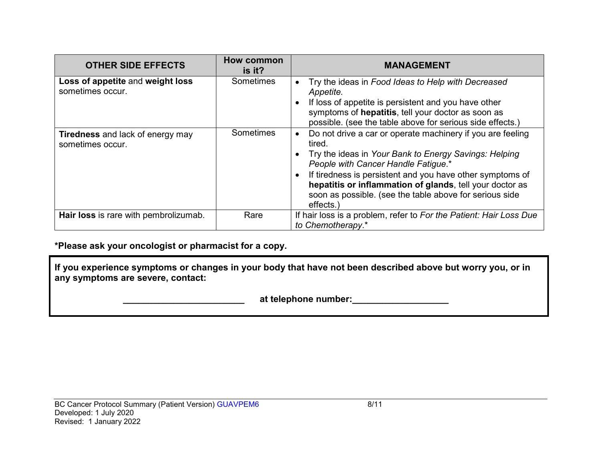| <b>OTHER SIDE EFFECTS</b>                                   | <b>How common</b><br>is it? | <b>MANAGEMENT</b>                                                                                                                                                                                                                                                                                                                                                     |
|-------------------------------------------------------------|-----------------------------|-----------------------------------------------------------------------------------------------------------------------------------------------------------------------------------------------------------------------------------------------------------------------------------------------------------------------------------------------------------------------|
| Loss of appetite and weight loss<br>sometimes occur.        | <b>Sometimes</b>            | Try the ideas in Food Ideas to Help with Decreased<br>Appetite.<br>If loss of appetite is persistent and you have other<br>symptoms of hepatitis, tell your doctor as soon as<br>possible. (see the table above for serious side effects.)                                                                                                                            |
| <b>Tiredness</b> and lack of energy may<br>sometimes occur. | Sometimes                   | Do not drive a car or operate machinery if you are feeling<br>tired.<br>Try the ideas in Your Bank to Energy Savings: Helping<br>People with Cancer Handle Fatigue.*<br>If tiredness is persistent and you have other symptoms of<br>hepatitis or inflammation of glands, tell your doctor as<br>soon as possible. (see the table above for serious side<br>effects.) |
| Hair loss is rare with pembrolizumab.                       | Rare                        | If hair loss is a problem, refer to For the Patient: Hair Loss Due<br>to Chemotherapy.*                                                                                                                                                                                                                                                                               |

### **\*Please ask your oncologist or pharmacist for a copy.**

**If you experience symptoms or changes in your body that have not been described above but worry you, or in any symptoms are severe, contact:**

 **\_\_\_\_\_\_\_\_\_\_\_\_\_\_\_\_\_\_\_\_\_\_\_\_ at telephone number:\_\_\_\_\_\_\_\_\_\_\_\_\_\_\_\_\_\_\_**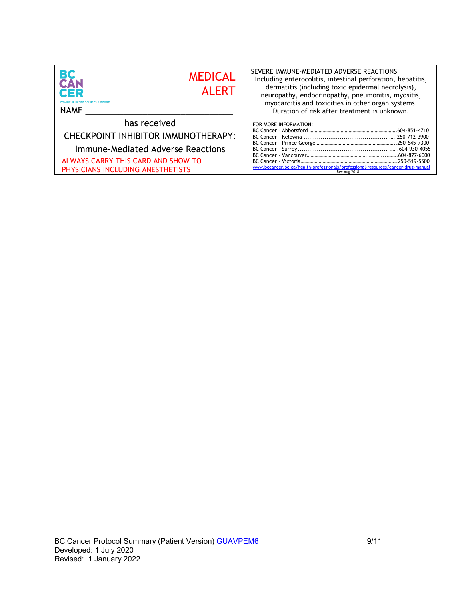| <b>BC</b><br>CAN                                                                                                                                                    | SEVERE IMMUNE-MEDIATED ADVERSE REACTIONS                                                                                   |  |
|---------------------------------------------------------------------------------------------------------------------------------------------------------------------|----------------------------------------------------------------------------------------------------------------------------|--|
| <b>MEDICAL</b>                                                                                                                                                      | Including enterocolitis, intestinal perforation, hepatitis,                                                                |  |
| <b>AI FRT</b>                                                                                                                                                       | dermatitis (including toxic epidermal necrolysis),                                                                         |  |
| <b>CER</b>                                                                                                                                                          | neuropathy, endocrinopathy, pneumonitis, myositis,                                                                         |  |
| <b>Provincial Health Services Authority</b>                                                                                                                         | myocarditis and toxicities in other organ systems.                                                                         |  |
| <b>NAME</b>                                                                                                                                                         | Duration of risk after treatment is unknown.                                                                               |  |
| has received<br>CHECKPOINT INHIBITOR IMMUNOTHERAPY:<br>Immune-Mediated Adverse Reactions<br>ALWAYS CARRY THIS CARD AND SHOW TO<br>PHYSICIANS INCLUDING ANESTHETISTS | FOR MORE INFORMATION:<br>www.bccancer.bc.ca/health-professionals/professional-resources/cancer-drug-manual<br>Rev Aug 2018 |  |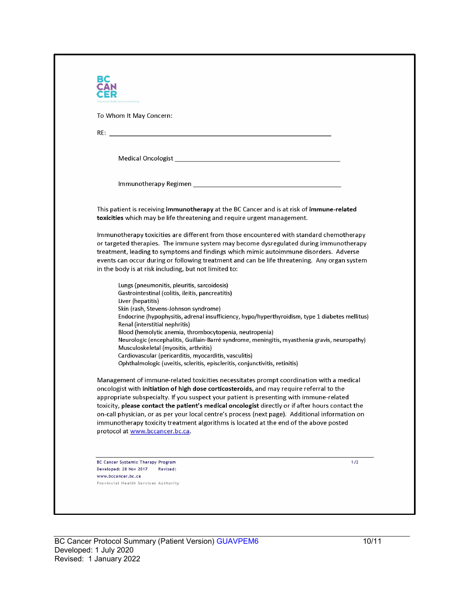| al Health Services Authority                                                                                                                                                                                                   |       |
|--------------------------------------------------------------------------------------------------------------------------------------------------------------------------------------------------------------------------------|-------|
| To Whom It May Concern:                                                                                                                                                                                                        |       |
|                                                                                                                                                                                                                                |       |
|                                                                                                                                                                                                                                |       |
| Medical Oncologist New York and Service Contract of the Contract of the Contract of the Contract of the Contract of the Contract of the Contract of the Contract of the Contract of the Contract of the Contract of the Contra |       |
|                                                                                                                                                                                                                                |       |
|                                                                                                                                                                                                                                |       |
|                                                                                                                                                                                                                                |       |
| This patient is receiving immunotherapy at the BC Cancer and is at risk of immune-related                                                                                                                                      |       |
| toxicities which may be life threatening and require urgent management.                                                                                                                                                        |       |
| Immunotherapy toxicities are different from those encountered with standard chemotherapy                                                                                                                                       |       |
| or targeted therapies. The immune system may become dysregulated during immunotherapy                                                                                                                                          |       |
| treatment, leading to symptoms and findings which mimic autoimmune disorders. Adverse                                                                                                                                          |       |
| events can occur during or following treatment and can be life threatening. Any organ system                                                                                                                                   |       |
| in the body is at risk including, but not limited to:                                                                                                                                                                          |       |
| Lungs (pneumonitis, pleuritis, sarcoidosis)                                                                                                                                                                                    |       |
| Gastrointestinal (colitis, ileitis, pancreatitis)                                                                                                                                                                              |       |
| Liver (hepatitis)                                                                                                                                                                                                              |       |
| Skin (rash, Stevens-Johnson syndrome)<br>Endocrine (hypophysitis, adrenal insufficiency, hypo/hyperthyroidism, type 1 diabetes mellitus)                                                                                       |       |
| Renal (interstitial nephritis)                                                                                                                                                                                                 |       |
| Blood (hemolytic anemia, thrombocytopenia, neutropenia)                                                                                                                                                                        |       |
| Neurologic (encephalitis, Guillain-Barré syndrome, meningitis, myasthenia gravis, neuropathy)                                                                                                                                  |       |
| Musculoskeletal (myositis, arthritis)<br>Cardiovascular (pericarditis, myocarditis, vasculitis)                                                                                                                                |       |
| Ophthalmologic (uveitis, scleritis, episcleritis, conjunctivitis, retinitis)                                                                                                                                                   |       |
| Management of immune-related toxicities necessitates prompt coordination with a medical                                                                                                                                        |       |
| oncologist with initiation of high dose corticosteroids, and may require referral to the                                                                                                                                       |       |
| appropriate subspecialty. If you suspect your patient is presenting with immune-related                                                                                                                                        |       |
| toxicity, please contact the patient's medical oncologist directly or if after hours contact the                                                                                                                               |       |
| on-call physician, or as per your local centre's process (next page). Additional information on                                                                                                                                |       |
| immunotherapy toxicity treatment algorithms is located at the end of the above posted<br>protocol at www.bccancer.bc.ca.                                                                                                       |       |
|                                                                                                                                                                                                                                |       |
|                                                                                                                                                                                                                                |       |
| <b>BC Cancer Systemic Therapy Program</b>                                                                                                                                                                                      | $1/2$ |
| Developed: 28 Nov 2017<br>Revised:                                                                                                                                                                                             |       |